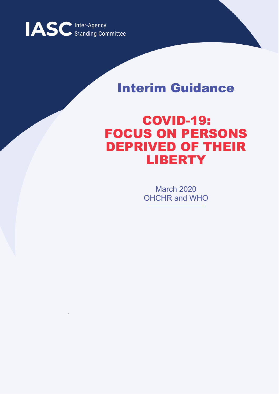

# Interim Guidance

# COVID-19: FOCUS ON PERSONS DEPRIVED OF THEIR LIBERTY

March 2020 OHCHR and WHO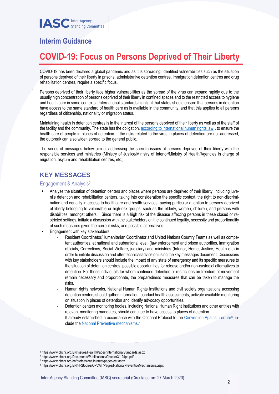## **Interim Guidance**

## **COVID-19: Focus on Persons Deprived of Their Liberty**

COVID-19 has been declared a global pandemic and as it is spreading, identified vulnerabilities such as the situation of persons deprived of their liberty in prisons, administrative detention centres, immigration detention centres and drug rehabilitation centres, require a specific focus.

Persons deprived of their liberty face higher vulnerabilities as the spread of the virus can expand rapidly due to the usually high concentration of persons deprived of their liberty in confined spaces and to the restricted access to hygiene and health care in some contexts. International standards highlight that states should ensure that persons in detention have access to the same standard of health care as is available in the community, and that this applies to all persons regardless of citizenship, nationality or migration status.

Maintaining health in detention centres is in the interest of the persons deprived of their liberty as well as of the staff of the facility and the community. The state has the obligation[, according to international human rights law](https://www.ohchr.org/EN/Issues/Health/Pages/InternationalStandards.aspx)<sup>1</sup>, to ensure the health care of people in places of detention. If the risks related to the virus in places of detention are not addressed, the outbreak can also widen spread to the general public.

The series of messages below aim at addressing the specific issues of persons deprived of their liberty with the responsible services and ministries (Ministry of Justice/Ministry of Interior/Ministry of Health/Agencies in charge of migration, asylum and rehabilitation centres, etc.).

### **KEY MESSAGES**

#### Engagement & Analysis<sup>2</sup>

- Analyse the situation of detention centers and places where persons are deprived of their liberty, including juvenile detention and rehabilitation centers, taking into consideration the specific context, the right to non-discrimination and equality in access to healthcare and health services, paying particular attention to persons deprived of liberty belonging to vulnerable or high-risk groups, such as the elderly, women, children, and persons with disabilities, amongst others. Since there is a high risk of the disease affecting persons in these closed or restricted settings, initiate a discussion with the stakeholders on the continued legality, necessity and proportionality of such measures given the current risks, and possible alternatives.
- Engagement with key stakeholders:
	- Resident Coordinator/Humanitarian Coordinator and United Nations Country Teams as well as competent authorities, at national and subnational level, (law enforcement and prison authorities, immigration officials, Corrections, Social Welfare, judiciary) and ministries (Interior, Home, Justice, Health etc) in order to initiate discussion and offer technical advice on using the key messages document. Discussions with key stakeholders should include the impact of any state of emergency and its specific measures to the situation of detention centres, possible opportunities for release and/or non-custodial alternatives to detention. For those individuals for whom continued detention or restrictions on freedom of movement remain necessary and proportionate, the preparedness measures that can be taken to manage the risks.
	- Human rights networks, National Human Rights Institutions and civil society organizations accessing detention centers should gather information, conduct health assessments, activate available monitoring on situation in places of detention and identify advocacy opportunities.
	- Detention centers monitoring bodies, including National Human Right Institutions and other entities with relevant monitoring mandates, should continue to have access to places of detention.
	- If already established in accordance with the Optional Protocol to the [Convention Against Torture](https://www.ohchr.org/en/professionalinterest/pages/cat.aspx)<sup>3</sup>, include the **National Preventive mechanisms**.<sup>4</sup>

<sup>&</sup>lt;u>.</u> <sup>1</sup> https://www.ohchr.org/EN/Issues/Health/Pages/InternationalStandards.aspx

<sup>2</sup> https://www.ohchr.org/Documents/Publications/Chapter31-24pp.pdf

<sup>3</sup> https://www.ohchr.org/en/professionalinterest/pages/cat.aspx

<sup>4</sup> https://www.ohchr.org/EN/HRBodies/OPCAT/Pages/NationalPreventiveMechanisms.aspx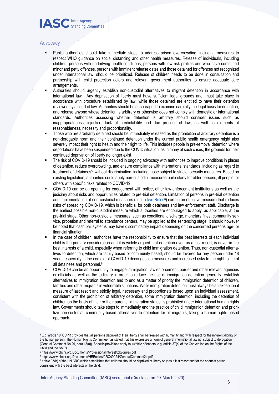

#### **Advocacy**

- Public authorities should take immediate steps to address prison overcrowding, including measures to respect WHO guidance on social distancing and other health measures. Release of individuals, including children, persons with underlying health conditions, persons with low risk profiles and who have committed minor and petty offences, persons with imminent release dates and those detained for offences not recognized under international law, should be prioritized. Release of children needs to be done in consultation and partnership with child protection actors and relevant government authorities to ensure adequate care arrangements.
- Authorities should urgently establish non-custodial alternatives to migrant detention in accordance with international law. Any deprivation of liberty must have sufficient legal grounds and, must take place in accordance with procedure established by law, while those detained are entitled to have their detention reviewed by a court of law. Authorities should be encouraged to examine carefully the legal basis for detention, and release anyone whose detention is arbitrary or otherwise does not comply with domestic or international standards. Authorities assessing whether detention is arbitrary should consider issues such as inappropriateness, injustice, lack of predictability and due process of law, as well as elements of reasonableness, necessity and proportionality.
- Those who are arbitrarily detained should be immediately released as the prohibition of arbitrary detention is a non-derogable norm and their continued detention under the current public health emergency might also severely impact their right to health and their right to life. This includes people in pre-removal detention where deportations have been suspended due to the COVID situation, as in many of such cases, the grounds for their continued deprivation of liberty no longer exist.
- The risk of COVID-19 should be included in ongoing advocacy with authorities to improve conditions in places of detention, reduce overcrowding, and ensure compliance with international standards, including as regard to treatment of detainees<sup>5</sup>, without discrimination, including those subject to stricter security measures. Based on existing legislation, authorities could apply non-custodial measures particularly for older persons, ill people, or others with specific risks related to COVID-19.
- COVID-19 can be an opening for engagement with police, other law enforcement institutions as well as the judiciary about risks and opportunities related to pre-trial detention. Limitation of persons in pre-trial detention and implementation of non-custodial measures [\(see Tokyo Rules](https://www.ohchr.org/Documents/ProfessionalInterest/tokyorules.pdf)<sup>6</sup>) can be an effective measure that reduces risks of spreading COVID-19, which is beneficial for both detainees and law enforcement staff. Discharge is the earliest possible non-custodial measure which authorities are encouraged to apply, as applicable, at the pre-trial stage. Other non-custodial measures, such as conditional discharge, monetary fines, community service, probation and referral to attendance centers, may be applied at the sentencing stage. It should however be noted that cash bail systems may have discriminatory impact depending on the concerned persons age<sup>7</sup> or financial situation.
- In the case of children, authorities have the responsibility to ensure that the best interests of each individual child is the primary consideration and it is widely argued that detention even as a last resort, is never in the best interests of a child, especially when referring to child immigration detention. Thus, non-custodial alternatives to detention, which are family based or community based, should be favored for any person under 18 years, especially in the context of COVID-19 decongestion measures and increased risks to the right to life of all detainees and personnel.<sup>8</sup>
- COVID-19 can be an opportunity to engage immigration, law enforcement, border and other relevant agencies or officials as well as the judiciary in order to reduce the use of immigration detention generally, establish alternatives to immigration detention and to end as a matter of priority the immigration detention of children, families and other migrants in vulnerable situations. While immigration detention must always be an exceptional measure of last resort and strictly legal, necessary and proportionate based upon an individual assessment, consistent with the prohibition of arbitrary detention, some immigration detention, including the detention of children on the basis of their or their parents' immigration status, is prohibited under international human rights law. Governments should take steps to immediately end the practice of child immigration detention and prioritize non-custodial, community-based alternatives to detention for all migrants, taking a human rights-based approach.

<u>.</u>

<sup>5</sup> E.g. article 10 ICCPR provides that all persons deprived of their liberty shall be treated with humanity and with respect for the inherent dignity of the human person. The Human Rights Committee has stated that this expresses a norm of general international law not subject to derogation (General Comment No.29, para 13(a)). Specific provisions apply to juvenile offenders, e.g. article 37(c) of the Convention on the Rights of the Child and the SMRs.

<sup>6</sup> https://www.ohchr.org/Documents/ProfessionalInterest/tokyorules.pdf

<sup>7</sup> https://www.ohchr.org/Documents/HRBodies/CRC/GC24/GeneralComment24.pdf

<sup>8</sup> article 37(b) of the UN CRC which establishes that children should be deprived of liberty only as a last resort and for the shortest period, consistent with the best interests of the child.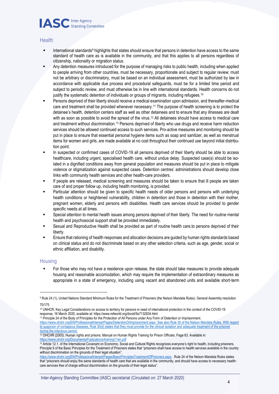

#### **Health**

- International standards<sup>9</sup> highlights that states should ensure that persons in detention have access to the same standard of health care as is available in the community, and that this applies to all persons regardless of citizenship, nationality or migration status.
- Any detention measures introduced for the purpose of managing risks to public health, including when applied to people arriving from other countries, must be necessary, proportionate and subject to regular review; must not be arbitrary or discriminatory, must be based on an individual assessment, must be authorized by law in accordance with applicable due process and procedural safeguards, must be for a limited time period and subject to periodic review, and must otherwise be in line with international standards. Health concerns do not justify the systematic detention of individuals or groups of migrants, including refugees.<sup>10</sup>
- Persons deprived of their liberty should receive a medical examination upon admission, and thereafter-medical care and treatment shall be provided whenever necessary.<sup>11</sup> The purpose of health screening is to protect the detainee's health, detention centers staff as well as other detainees and to ensure that any illnesses are dealt with as soon as possible to avoid the spread of the virus.<sup>12</sup> All detainees should have access to medical care and treatment without discrimination.<sup>13</sup> Persons deprived of liberty who use drugs and receive harm reduction services should be allowed continued access to such services. Pro-active measures and monitoring should be put in place to ensure that essential personal hygiene items such as soap and sanitizer, as well as menstrual items for women and girls, are made available at no cost throughout their continued use beyond initial distribution point.
- In suspected or confirmed cases of COVID-19 all persons deprived of their liberty should be able to access healthcare, including urgent, specialised health care, without undue delay. Suspected case(s) should be isolated in a dignified conditions away from general population and measures should be put in place to mitigate violence or stigmatization against suspected cases. Detention centres' administrations should develop close links with community health services and other health-care providers.
- If people are released, medical screening and measures should be taken to ensure that ill people are taken care of and proper follow up, including health monitoring, is provided.
- Particular attention should be given to specific health needs of older persons and persons with underlying health conditions or heightened vulnerability, children in detention and those in detention with their mother, pregnant women, elderly and persons with disabilities. Health care services should be provided to gender specific needs at all times.
- Special attention to mental health issues among persons deprived of their liberty. The need for routine mental health and psychosocial support shall be provided immediately.
- Sexual and Reproductive Health shall be provided as part of routine health care.to persons deprived of their liberty.
- Ensure that rationing of health responses and allocation decisions are quided by human rights standards based on clinical status and do not discriminate based on any other selection criteria, such as age, gender, social or ethnic affiliation, and disability.

#### **Housing**

For those who may not have a residence upon release, the state should take measures to provide adequate housing and reasonable accomodation, which may require the implementation of extraordinary measures as appropriate in a state of emergency, including using vacant and abandoned units and available short-term

1

<sup>11</sup> Principle 24 of the Body of Principles for the Protection of All Persons under Any Form of Detention or Imprisonment. [https://www.ohchr.org/EN/ProfessionalInterest/Pages/DetentionOrImprisonment.aspx.](https://www.ohchr.org/EN/ProfessionalInterest/Pages/DetentionOrImprisonment.aspx) See also Rule 30 of the Nelson Mandela Rules. With regard to suspicion of contagious diseases, Rule 30(d) states that they must provide for the clinical isolation and adequate treatment of the prisoner during the infectious period.

<https://www.ohchr.org/EN/ProfessionalInterest/Pages/BasicPrinciplesTreatmentOfPrisoners.aspx> . Rule 24 of the Nelson Mandela Rules states that "prisoners should enjoy the same standards of health care that are available in the community, and should have access to necessary healthcare services free of charge without discrimination on the grounds of their legal status".

<sup>9</sup> Rule 24 (1), United Nations Standard Minimum Rules for the Treatment of Prisoners (the Nelson Mandela Rules). General Assembly resolution 70/175

<sup>10</sup> UNHCR, Key Legal Considerations on access to territory for persons in need of international protection in the context of the COVID-19 response, 16 March 2020, available at: https://www.refworld.org/docid/5e7132834.html

 $12$  OHCHR (2005). Human rights and prisons. Manual on Human Rights Training for Prison Officials. Page 63. Available in: <https://www.ohchr.org/Documents/Publications/training11en.pdf>

<sup>13</sup> Article 12.1. of the International Covenant on Economic, Social and Cultural Rights recognizes everyone's right to health, including prisoners. Principle 9 of the Basic Principles for the Treatment of Prisoners states that "prisoners shall have access to health services available in the country without discrimination on the grounds of their legal situation".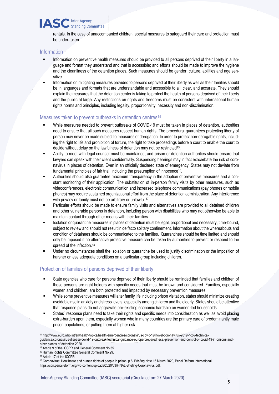### **IASC** Inter-Agency **Standing Committee**

rentals. In the case of unaccompanied children, special measures to safeguard their care and protection must be under-taken.

#### Information

- Information on preventive health measures should be provided to all persons deprived of their liberty in a language and format they understand and that is accessible; and efforts should be made to improve the hygiene and the cleanliness of the detention places. Such measures should be gender, culture, abilities and age sensitive.
- Information on mitigating measures provided to persons deprived of their liberty as well as their families should be in languages and formats that are understandable and accessible to all, clear, and accurate. They should explain the measures that the detention center is taking to protect the health of persons deprived of their liberty and the public at large. Any restrictions on rights and freedoms must be consistent with international human rights norms and principles, including legality, proportionality, necessity and non-discrimination.

#### Measures taken to prevent outbreaks in detention centres<sup>14</sup>

- While measures needed to prevent outbreaks of COVID-19 must be taken in places of detention, authorities need to ensure that all such measures respect human rights. The procedural guarantees protecting liberty of person may never be made subject to measures of derogation. In order to protect non-derogable rights, including the right to life and prohibition of torture, the right to take proceedings before a court to enable the court to decide without delay on the lawfulness of detention may not be restricted<sup>15</sup> .
- Ability to meet with legal counsel must be maintained, and prison or detention authorities should ensure that lawyers can speak with their client confidentially. Suspending hearings may in fact exacerbate the risk of coronavirus in places of detention. Even in an officially declared state of emergency, States may not deviate from fundamental principles of fair trial, including the presumption of innocence<sup>16</sup>.
- Authorities should also guarantee maximum transparency in the adoption of preventive measures and a constant monitoring of their application. The substitution of in-person family visits by other measures, such as videoconferences, electronic communication and increased telephone communications (pay phones or mobile phones) may require sustained organizational effort from the place of detention administration. Any interference with privacy or family must not be arbitrary or unlawful.<sup>17</sup>
- Particular efforts should be made to ensure family visits and alternatives are provided to all detained children and other vulnerable persons in detention, including person with disabilities who may not otherwise be able to maintain contact through other means with their families.
- Isolation or quarantine measures in places of detention must be legal, proportional and necessary, time-bound, subject to review and should not result in de facto solitary confinement. Information about the whereabouts and condition of detainees should be communicated to the families. Quarantines should be time limited and should only be imposed if no alternative protective measure can be taken by authorities to prevent or respond to the spread of the infection.<sup>18</sup>
- Under no circumstances shall the isolation or quarantine be used to justify discrimination or the imposition of harsher or less adequate conditions on a particular group including children.

#### Protection of families of persons deprived of their liberty

- State agencies who care for persons deprived of their liberty should be reminded that families and children of those persons are right holders with specific needs that must be known and considered. Families, especially women and children, are both protected and impacted by necessary prevention measures.
- While some preventive measures will alter family life including prison visitation, states should minimize creating avoidable rise in anxiety and stress levels, especially among children and the elderly. States should be attentive that response plans do not aggravate pre-existing economic hardship on women-led households.
- States' response plans need to take their rights and specific needs into consideration as well as avoid placing extra-burden upon them, especially women who in many countries are the primary care of predominantly male prison populations, or putting them at higher risk.

<sup>&</sup>lt;u>.</u> <sup>14</sup> http://www.euro.who.int/en/health-topics/health-emergencies/coronavirus-covid-19/novel-coronavirus-2019-ncov-technical-

guidance/coronavirus-disease-covid-19-outbreak-technical-guidance-europe/preparedness,-prevention-and-control-of-covid-19-in-prisons-andother-places-of-detention-2020

<sup>15</sup> Article 9 of the ICCPR and General Comment No.35.

<sup>16</sup> Human Rights Committee General Comment No.29.

<sup>17</sup> Article 17 of the ICCPR.

<sup>18</sup> Coronavirus: Healthcare and human rights of people in prison, p 8, Briefing Note 16 March 2020, Penal Reform International, https://cdn.penalreform.org/wp-content/uploads/2020/03/FINAL-Briefing-Coronavirus.pdf.